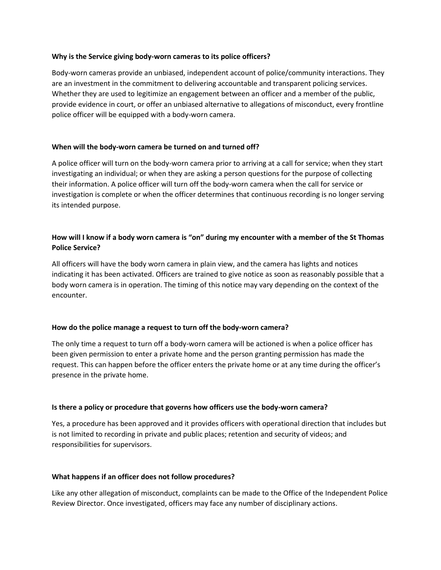#### **Why is the Service giving body-worn cameras to its police officers?**

Body-worn cameras provide an unbiased, independent account of police/community interactions. They are an investment in the commitment to delivering accountable and transparent policing services. Whether they are used to legitimize an engagement between an officer and a member of the public, provide evidence in court, or offer an unbiased alternative to allegations of misconduct, every frontline police officer will be equipped with a body-worn camera.

## **When will the body-worn camera be turned on and turned off?**

A police officer will turn on the body-worn camera prior to arriving at a call for service; when they start investigating an individual; or when they are asking a person questions for the purpose of collecting their information. A police officer will turn off the body-worn camera when the call for service or investigation is complete or when the officer determines that continuous recording is no longer serving its intended purpose.

## **How will I know if a body worn camera is "on" during my encounter with a member of the St Thomas Police Service?**

All officers will have the body worn camera in plain view, and the camera has lights and notices indicating it has been activated. Officers are trained to give notice as soon as reasonably possible that a body worn camera is in operation. The timing of this notice may vary depending on the context of the encounter.

## **How do the police manage a request to turn off the body-worn camera?**

The only time a request to turn off a body-worn camera will be actioned is when a police officer has been given permission to enter a private home and the person granting permission has made the request. This can happen before the officer enters the private home or at any time during the officer's presence in the private home.

#### **Is there a policy or procedure that governs how officers use the body-worn camera?**

Yes, a procedure has been approved and it provides officers with operational direction that includes but is not limited to recording in private and public places; retention and security of videos; and responsibilities for supervisors.

## **What happens if an officer does not follow procedures?**

Like any other allegation of misconduct, complaints can be made to the Office of the Independent Police Review Director. Once investigated, officers may face any number of disciplinary actions.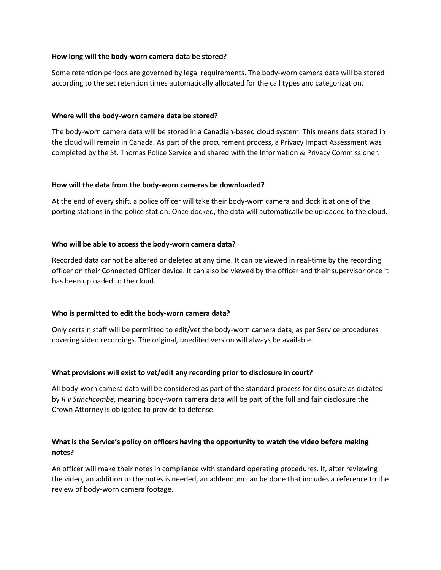#### **How long will the body-worn camera data be stored?**

Some retention periods are governed by legal requirements. The body-worn camera data will be stored according to the set retention times automatically allocated for the call types and categorization.

#### **Where will the body-worn camera data be stored?**

The body-worn camera data will be stored in a Canadian-based cloud system. This means data stored in the cloud will remain in Canada. As part of the procurement process, a Privacy Impact Assessment was completed by the St. Thomas Police Service and shared with the Information & Privacy Commissioner.

#### **How will the data from the body-worn cameras be downloaded?**

At the end of every shift, a police officer will take their body-worn camera and dock it at one of the porting stations in the police station. Once docked, the data will automatically be uploaded to the cloud.

## **Who will be able to access the body-worn camera data?**

Recorded data cannot be altered or deleted at any time. It can be viewed in real-time by the recording officer on their Connected Officer device. It can also be viewed by the officer and their supervisor once it has been uploaded to the cloud.

## **Who is permitted to edit the body-worn camera data?**

Only certain staff will be permitted to edit/vet the body-worn camera data, as per Service procedures covering video recordings. The original, unedited version will always be available.

## **What provisions will exist to vet/edit any recording prior to disclosure in court?**

All body-worn camera data will be considered as part of the standard process for disclosure as dictated by *R v Stinchcombe*, meaning body-worn camera data will be part of the full and fair disclosure the Crown Attorney is obligated to provide to defense.

## **What is the Service's policy on officers having the opportunity to watch the video before making notes?**

An officer will make their notes in compliance with standard operating procedures. If, after reviewing the video, an addition to the notes is needed, an addendum can be done that includes a reference to the review of body-worn camera footage.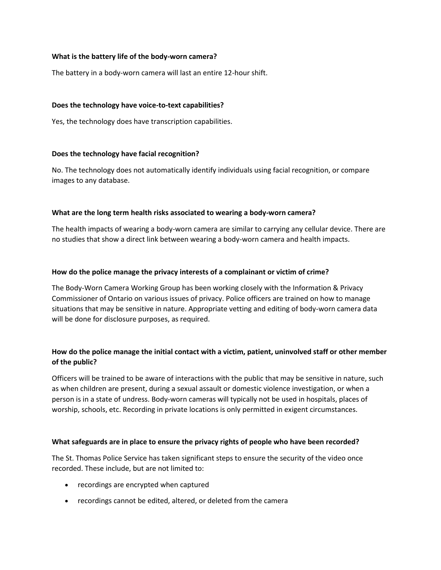## **What is the battery life of the body-worn camera?**

The battery in a body-worn camera will last an entire 12-hour shift.

#### **Does the technology have voice-to-text capabilities?**

Yes, the technology does have transcription capabilities.

#### **Does the technology have facial recognition?**

No. The technology does not automatically identify individuals using facial recognition, or compare images to any database.

#### **What are the long term health risks associated to wearing a body-worn camera?**

The health impacts of wearing a body-worn camera are similar to carrying any cellular device. There are no studies that show a direct link between wearing a body-worn camera and health impacts.

#### **How do the police manage the privacy interests of a complainant or victim of crime?**

The Body-Worn Camera Working Group has been working closely with the Information & Privacy Commissioner of Ontario on various issues of privacy. Police officers are trained on how to manage situations that may be sensitive in nature. Appropriate vetting and editing of body-worn camera data will be done for disclosure purposes, as required.

# **How do the police manage the initial contact with a victim, patient, uninvolved staff or other member of the public?**

Officers will be trained to be aware of interactions with the public that may be sensitive in nature, such as when children are present, during a sexual assault or domestic violence investigation, or when a person is in a state of undress. Body-worn cameras will typically not be used in hospitals, places of worship, schools, etc. Recording in private locations is only permitted in exigent circumstances.

#### **What safeguards are in place to ensure the privacy rights of people who have been recorded?**

The St. Thomas Police Service has taken significant steps to ensure the security of the video once recorded. These include, but are not limited to:

- recordings are encrypted when captured
- recordings cannot be edited, altered, or deleted from the camera